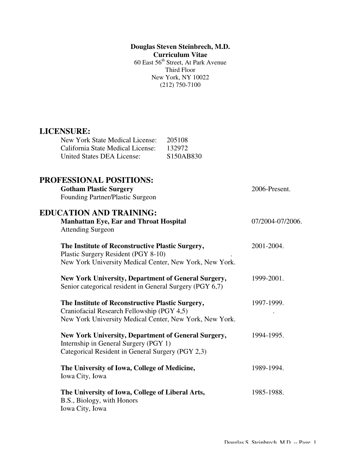**Douglas Steven Steinbrech, M.D. Curriculum Vitae**  60 East 56<sup>th</sup> Street, At Park Avenue Third Floor New York, NY 10022 (212) 750-7100

# **LICENSURE:**

| New York State Medical License:   | 205108                             |
|-----------------------------------|------------------------------------|
| California State Medical License: | 132972                             |
| United States DEA License:        | S <sub>150</sub> AB <sub>830</sub> |

| PROFESSIONAL POSITIONS:<br><b>Gotham Plastic Surgery</b><br>Founding Partner/Plastic Surgeon                                                              | 2006-Present.    |
|-----------------------------------------------------------------------------------------------------------------------------------------------------------|------------------|
| <b>EDUCATION AND TRAINING:</b><br><b>Manhattan Eye, Ear and Throat Hospital</b><br><b>Attending Surgeon</b>                                               | 07/2004-07/2006. |
| The Institute of Reconstructive Plastic Surgery,<br>Plastic Surgery Resident (PGY 8-10)<br>New York University Medical Center, New York, New York.        | 2001-2004.       |
| New York University, Department of General Surgery,<br>Senior categorical resident in General Surgery (PGY 6,7)                                           | 1999-2001.       |
| The Institute of Reconstructive Plastic Surgery,<br>Craniofacial Research Fellowship (PGY 4,5)<br>New York University Medical Center, New York, New York. | 1997-1999.       |
| New York University, Department of General Surgery,<br>Internship in General Surgery (PGY 1)<br>Categorical Resident in General Surgery (PGY 2,3)         | 1994-1995.       |
| The University of Iowa, College of Medicine,<br>Iowa City, Iowa                                                                                           | 1989-1994.       |
| The University of Iowa, College of Liberal Arts,<br>B.S., Biology, with Honors<br>Iowa City, Iowa                                                         | 1985-1988.       |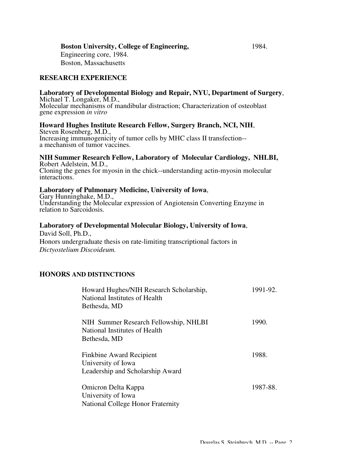# **Boston University, College of Engineering,** 1984.

 Engineering core, 1984. Boston, Massachusetts

# **RESEARCH EXPERIENCE**

# **Laboratory of Developmental Biology and Repair, NYU, Department of Surgery**, Michael T. Longaker, M.D.,

Molecular mechanisms of mandibular distraction; Characterization of osteoblast gene expression *in vitro*

**Howard Hughes Institute Research Fellow, Surgery Branch, NCI, NIH**, Steven Rosenberg, M.D., Increasing immunogenicity of tumor cells by MHC class II transfection- a mechanism of tumor vaccines.

# **NIH Summer Research Fellow, Laboratory of Molecular Cardiology, NHLBI,** Robert Adelstein, M.D.,

Cloning the genes for myosin in the chick--understanding actin-myosin molecular interactions.

**Laboratory of Pulmonary Medicine, University of Iowa**, Gary Hunninghake, M.D., Understanding the Molecular expression of Angiotensin Converting Enzyme in relation to Sarcoidosis.

# **Laboratory of Developmental Molecular Biology, University of Iowa**,

David Soll, Ph.D., Honors undergraduate thesis on rate-limiting transcriptional factors in *Dictyostelium Discoideum.*

# **HONORS AND DISTINCTIONS**

| Howard Hughes/NIH Research Scholarship,<br>National Institutes of Health<br>Bethesda, MD | 1991-92. |
|------------------------------------------------------------------------------------------|----------|
| NIH Summer Research Fellowship, NHLBI<br>National Institutes of Health<br>Bethesda, MD   | 1990.    |
| Finkbine Award Recipient<br>University of Iowa<br>Leadership and Scholarship Award       | 1988.    |
| Omicron Delta Kappa<br>University of Iowa<br><b>National College Honor Fraternity</b>    | 1987-88. |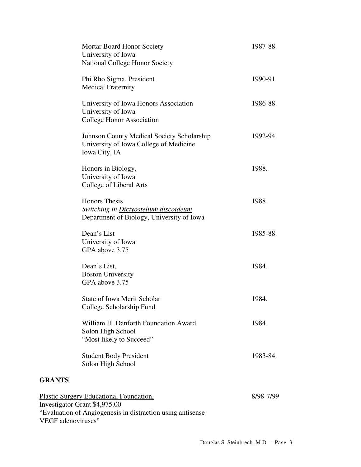|                    | <b>Mortar Board Honor Society</b><br>University of Iowa<br><b>National College Honor Society</b>                                              | 1987-88.  |
|--------------------|-----------------------------------------------------------------------------------------------------------------------------------------------|-----------|
|                    | Phi Rho Sigma, President<br><b>Medical Fraternity</b>                                                                                         | 1990-91   |
|                    | University of Iowa Honors Association<br>University of Iowa<br>College Honor Association                                                      | 1986-88.  |
|                    | <b>Johnson County Medical Society Scholarship</b><br>University of Iowa College of Medicine<br>Iowa City, IA                                  | 1992-94.  |
|                    | Honors in Biology,<br>University of Iowa<br>College of Liberal Arts                                                                           | 1988.     |
|                    | <b>Honors</b> Thesis<br>Switching in Dictyostelium discoideum<br>Department of Biology, University of Iowa                                    | 1988.     |
|                    | Dean's List<br>University of Iowa<br>GPA above 3.75                                                                                           | 1985-88.  |
|                    | Dean's List,<br><b>Boston University</b><br>GPA above 3.75                                                                                    | 1984.     |
|                    | <b>State of Iowa Merit Scholar</b><br>College Scholarship Fund                                                                                | 1984.     |
|                    | William H. Danforth Foundation Award<br>Solon High School<br>"Most likely to Succeed"                                                         | 1984.     |
|                    | <b>Student Body President</b><br>Solon High School                                                                                            | 1983-84.  |
| <b>GRANTS</b>      |                                                                                                                                               |           |
| VEGF adenoviruses" | <b>Plastic Surgery Educational Foundation,</b><br>Investigator Grant \$4,975.00<br>"Evaluation of Angiogenesis in distraction using antisense | 8/98-7/99 |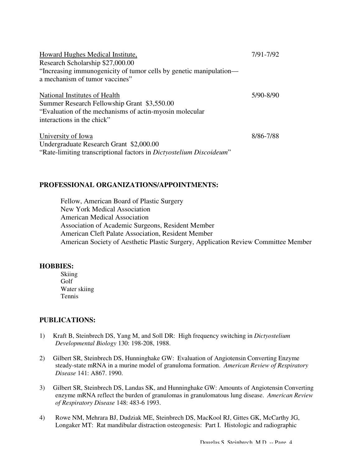| Howard Hughes Medical Institute,<br>Research Scholarship \$27,000.00                                                                                                  | 7/91-7/92 |
|-----------------------------------------------------------------------------------------------------------------------------------------------------------------------|-----------|
| "Increasing immunogenicity of tumor cells by genetic manipulation-<br>a mechanism of tumor vaccines"                                                                  |           |
| National Institutes of Health<br>Summer Research Fellowship Grant \$3,550.00<br>"Evaluation of the mechanisms of actin-myosin molecular<br>interactions in the chick" | 5/90-8/90 |
| University of Iowa<br>Undergraduate Research Grant \$2,000.00<br>"Rate-limiting transcriptional factors in <i>Dictyostelium Discoideum</i> "                          | 8/86-7/88 |

#### **PROFESSIONAL ORGANIZATIONS/APPOINTMENTS:**

Fellow, American Board of Plastic Surgery New York Medical Association American Medical Association Association of Academic Surgeons, Resident Member American Cleft Palate Association, Resident Member American Society of Aesthetic Plastic Surgery, Application Review Committee Member

## **HOBBIES:**

Skiing Golf Water skiing Tennis

## **PUBLICATIONS:**

- 1) Kraft B, Steinbrech DS, Yang M, and Soll DR: High frequency switching in *Dictyostelium Developmental Biology* 130: 198-208, 1988.
- 2) Gilbert SR, Steinbrech DS, Hunninghake GW: Evaluation of Angiotensin Converting Enzyme steady-state mRNA in a murine model of granuloma formation. *American Review of Respiratory Disease* 141: A867. 1990.
- 3) Gilbert SR, Steinbrech DS, Landas SK, and Hunninghake GW: Amounts of Angiotensin Converting enzyme mRNA reflect the burden of granulomas in granulomatous lung disease. *American Review of Respiratory Disease* 148: 483-6 1993.
- 4) Rowe NM, Mehrara BJ, Dudziak ME, Steinbrech DS, MacKool RJ, Gittes GK, McCarthy JG, Longaker MT: Rat mandibular distraction osteogenesis: Part I. Histologic and radiographic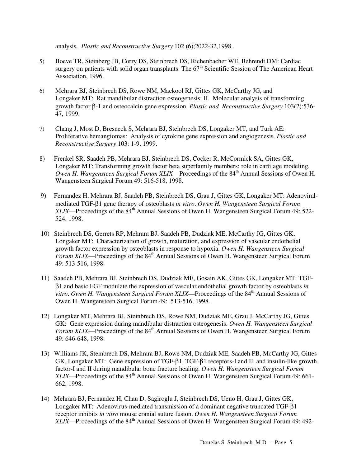analysis. *Plastic and Reconstructive Surgery* 102 (6);2022-32,1998.

- 5) Boeve TR, Steinberg JB, Corry DS, Steinbrech DS, Richenbacher WE, Behrendt DM: Cardiac surgery on patients with solid organ transplants. The  $67<sup>th</sup>$  Scientific Session of The American Heart Association, 1996.
- 6) Mehrara BJ, Steinbrech DS, Rowe NM, Mackool RJ, Gittes GK, McCarthy JG, and Longaker MT: Rat mandibular distraction osteogenesis: II. Molecular analysis of transforming growth factor β-1 and osteocalcin gene expression. *Plastic and Reconstructive Surgery* 103(2):536- 47, 1999.
- 7) Chang J, Most D, Bresneck S, Mehrara BJ, Steinbrech DS, Longaker MT, and Turk AE: Proliferative hemangiomas: Analysis of cytokine gene expression and angiogenesis. *Plastic and Reconstructive Surgery* 103: 1-9, 1999.
- 8) Frenkel SR, Saadeh PB, Mehrara BJ, Steinbrech DS, Cocker R, McCormick SA, Gittes GK, Longaker MT: Transforming growth factor beta superfamily members: role in cartilage modeling. *Owen H. Wangensteen Surgical Forum XLIX—Proceedings of the 84<sup>th</sup> Annual Sessions of Owen H.* Wangensteen Surgical Forum 49: 516-518, 1998.
- 9) Fernandez H, Mehrara BJ, Saadeh PB, Steinbrech DS, Grau J, Gittes GK, Longaker MT: Adenoviralmediated TGF-β1 gene therapy of osteoblasts *in vitro*. *Owen H. Wangensteen Surgical Forum XLIX*—Proceedings of the 84<sup>th</sup> Annual Sessions of Owen H. Wangensteen Surgical Forum 49: 522-524, 1998.
- 10) Steinbrech DS, Gerrets RP, Mehrara BJ, Saadeh PB, Dudziak ME, McCarthy JG, Gittes GK, Longaker MT: Characterization of growth, maturation, and expression of vascular endothelial growth factor expression by osteoblasts in response to hypoxia. *Owen H. Wangensteen Surgical Forum XLIX—Proceedings* of the 84<sup>th</sup> Annual Sessions of Owen H. Wangensteen Surgical Forum 49: 513-516, 1998.
- 11) Saadeh PB, Mehrara BJ, Steinbrech DS, Dudziak ME, Gosain AK, Gittes GK, Longaker MT: TGFβ1 and basic FGF modulate the expression of vascular endothelial growth factor by osteoblasts *in vitro. Owen H. Wangensteen Surgical Forum XLIX—Proceedings of the 84<sup>th</sup> Annual Sessions of* Owen H. Wangensteen Surgical Forum 49: 513-516, 1998.
- 12) Longaker MT, Mehrara BJ, Steinbrech DS, Rowe NM, Dudziak ME, Grau J, McCarthy JG, Gittes GK: Gene expression during mandibular distraction osteogenesis. *Owen H. Wangensteen Surgical Forum XLIX*—Proceedings of the 84<sup>th</sup> Annual Sessions of Owen H. Wangensteen Surgical Forum 49: 646-648, 1998.
- 13) Williams JK, Steinbrech DS, Mehrara BJ, Rowe NM, Dudziak ME, Saadeh PB, McCarthy JG, Gittes GK, Longaker MT: Gene expression of TGF-β1, TGF-β1 receptors-I and II, and insulin-like growth factor-I and II during mandibular bone fracture healing. *Owen H. Wangensteen Surgical Forum XLIX*—Proceedings of the 84<sup>th</sup> Annual Sessions of Owen H. Wangensteen Surgical Forum 49: 661-662, 1998.
- 14) Mehrara BJ, Fernandez H, Chau D, Sagiroglu J, Steinbrech DS, Ueno H, Grau J, Gittes GK, Longaker MT: Adenovirus-mediated transmission of a dominant negative truncated TGF-β1 receptor inhibits *in vitro* mouse cranial suture fusion. *Owen H. Wangensteen Surgical Forum XLIX*—Proceedings of the 84<sup>th</sup> Annual Sessions of Owen H. Wangensteen Surgical Forum 49: 492-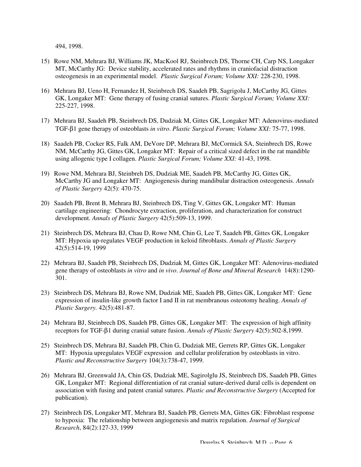494, 1998.

- 15) Rowe NM, Mehrara BJ, Williams JK, MacKool RJ, Steinbrech DS, Thorne CH, Carp NS, Longaker MT, McCarthy JG: Device stability, accelerated rates and rhythms in craniofacial distraction osteogenesis in an experimental model. *Plastic Surgical Forum; Volume XXI:* 228-230, 1998.
- 16) Mehrara BJ, Ueno H, Fernandez H, Steinbrech DS, Saadeh PB, Sagrigolu J, McCarthy JG, Gittes GK, Longaker MT: Gene therapy of fusing cranial sutures. *Plastic Surgical Forum; Volume XXI:* 225-227, 1998.
- 17) Mehrara BJ, Saadeh PB, Steinbrech DS, Dudziak M, Gittes GK, Longaker MT: Adenovirus-mediated TGF-β1 gene therapy of osteoblasts *in vitro*. *Plastic Surgical Forum; Volume XXI:* 75-77, 1998.
- 18) Saadeh PB, Cocker RS, Falk AM, DeVore DP, Mehrara BJ, McCormick SA, Steinbrech DS, Rowe NM, McCarthy JG, Gittes GK, Longaker MT: Repair of a critical sized defect in the rat mandible using allogenic type I collagen. *Plastic Surgical Forum; Volume XXI:* 41-43, 1998.
- 19) Rowe NM, Mehrara BJ, Steinbreh DS, Dudziak ME, Saadeh PB, McCarthy JG, Gittes GK, McCarthy JG and Longaker MT: Angiogenesis during mandibular distraction osteogenesis. *Annals of Plastic Surgery* 42(5): 470-75.
- 20) Saadeh PB, Brent B, Mehrara BJ, Steinbrech DS, Ting V, Gittes GK, Longaker MT: Human cartilage engineering: Chondrocyte extraction, proliferation, and characterization for construct development. *Annals of Plastic Surgery* 42(5):509-13, 1999.
- 21) Steinbrech DS, Mehrara BJ, Chau D, Rowe NM, Chin G, Lee T, Saadeh PB, Gittes GK, Longaker MT: Hypoxia up-regulates VEGF production in keloid fibroblasts. *Annals of Plastic Surgery* 42(5):514-19, 1999
- 22) Mehrara BJ, Saadeh PB, Steinbrech DS, Dudziak M, Gittes GK, Longaker MT: Adenovirus-mediated gene therapy of osteoblasts *in vitro* and *in vivo*. *Journal of Bone and Mineral Research* 14(8):1290- 301.
- 23) Steinbrech DS, Mehrara BJ, Rowe NM, Dudziak ME, Saadeh PB, Gittes GK, Longaker MT: Gene expression of insulin-like growth factor I and II in rat membranous osteotomy healing. *Annals of Plastic Surgery.* 42(5):481-87.
- 24) Mehrara BJ, Steinbrech DS, Saadeh PB, Gittes GK, Longaker MT: The expression of high affinity receptors for TGF-β1 during cranial suture fusion. *Annals of Plastic Surgery* 42(5):502-8,1999.
- 25) Steinbrech DS, Mehrara BJ, Saadeh PB, Chin G, Dudziak ME, Gerrets RP, Gittes GK, Longaker MT: Hypoxia upregulates VEGF expression and cellular proliferation by osteoblasts in vitro. *Plastic and Reconstructive Surgery* 104(3):738-47, 1999.
- 26) Mehrara BJ, Greenwald JA, Chin GS, Dudziak ME, Sagirolglu JS, Steinbrech DS, Saadeh PB, Gittes GK, Longaker MT: Regional differentiation of rat cranial suture-derived dural cells is dependent on association with fusing and patent cranial sutures. *Plastic and Reconstructive Surgery* (Accepted for publication).
- 27) Steinbrech DS, Longaker MT, Mehrara BJ, Saadeh PB, Gerrets MA, Gittes GK: Fibroblast response to hypoxia: The relationship between angiogenesis and matrix regulation. *Journal of Surgical Research*, 84(2):127-33, 1999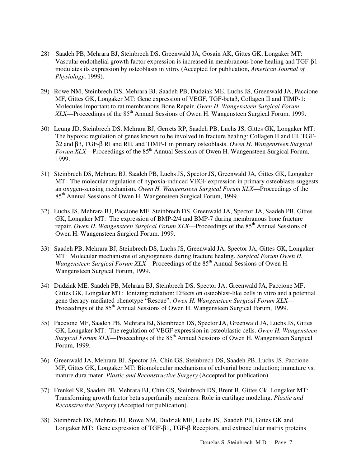- 28) Saadeh PB, Mehrara BJ, Steinbrech DS, Greenwald JA, Gosain AK, Gittes GK, Longaker MT: Vascular endothelial growth factor expression is increased in membranous bone healing and TGF-β1 modulates its expression by osteoblasts in vitro. (Accepted for publication, *American Journal of Physiology*, 1999).
- 29) Rowe NM, Steinbrech DS, Mehrara BJ, Saadeh PB, Dudziak ME, Luchs JS, Greenwald JA, Paccione MF, Gittes GK, Longaker MT: Gene expression of VEGF, TGF-beta3, Collagen II and TIMP-1: Molecules important to rat membranous Bone Repair. *Owen H. Wangensteen Surgical Forum XLX—Proceedings of the 85<sup>th</sup>* Annual Sessions of Owen H. Wangensteen Surgical Forum, 1999.
- 30) Leung JD, Steinbrech DS, Mehrara BJ, Gerrets RP, Saadeh PB, Luchs JS, Gittes GK, Longaker MT: The hypoxic regulation of genes known to be involved in fracture healing: Collagen II and III, TGFβ2 and β3, TGF-β RI and RII, and TIMP-1 in primary osteoblasts. *Owen H. Wangensteen Surgical Forum XLX—Proceedings of the 85<sup>th</sup> Annual Sessions of Owen H. Wangensteen Surgical Forum,* 1999.
- 31) Steinbrech DS, Mehrara BJ, Saadeh PB, Luchs JS, Spector JS, Greenwald JA, Gittes GK, Longaker MT: The molecular regulation of hypoxia-induced VEGF expression in primary osteoblasts suggests an oxygen-sensing mechanism. *Owen H. Wangensteen Surgical Forum XLX*—Proceedings of the 85th Annual Sessions of Owen H. Wangensteen Surgical Forum, 1999.
- 32) Luchs JS, Mehrara BJ, Paccione MF, Steinbrech DS, Greenwald JA, Spector JA, Saadeh PB, Gittes GK, Longaker MT: The expression of BMP-2/4 and BMP-7 during membranous bone fracture repair. *Owen H. Wangensteen Surgical Forum XLX—Proceedings* of the 85<sup>th</sup> Annual Sessions of Owen H. Wangensteen Surgical Forum, 1999.
- 33) Saadeh PB, Mehrara BJ, Steinbrech DS, Luchs JS, Greenwald JA, Spector JA, Gittes GK, Longaker MT: Molecular mechanisms of angiogenesis during fracture healing. *Surgical Forum Owen H. Wangensteen Surgical Forum XLX—Proceedings of the 85<sup>th</sup> Annual Sessions of Owen H.* Wangensteen Surgical Forum, 1999.
- 34) Dudziak ME, Saadeh PB, Mehrara BJ, Steinbrech DS, Spector JA, Greenwald JA, Paccione MF, Gittes GK, Longaker MT: Ionizing radiation: Effects on osteoblast-like cells in vitro and a potential gene therapy-mediated phenotype "Rescue". *Owen H. Wangensteen Surgical Forum XLX*— Proceedings of the 85<sup>th</sup> Annual Sessions of Owen H. Wangensteen Surgical Forum, 1999.
- 35) Paccione MF, Saadeh PB, Mehrara BJ, Steinbrech DS, Spector JA, Greenwald JA, Luchs JS, Gittes GK, Longaker MT: The regulation of VEGF expression in osteoblastic cells. *Owen H. Wangensteen Surgical Forum XLX—Proceedings of the 85<sup>th</sup> Annual Sessions of Owen H. Wangensteen Surgical* Forum, 1999.
- 36) Greenwald JA, Mehrara BJ, Spector JA, Chin GS, Steinbrech DS, Saadeh PB, Luchs JS, Paccione MF, Gittes GK, Longaker MT: Biomolecular mechanisms of calvarial bone induction; immature vs. mature dura mater. *Plastic and Reconstructive Surgery* (Accepted for publication).
- 37) Frenkel SR, Saadeh PB, Mehrara BJ, Chin GS, Steinbrech DS, Brent B, Gittes Gk, Longaker MT: Transforming growth factor beta superfamily members: Role in cartilage modeling. *Plastic and Reconstructive Surgery* (Accepted for publication).
- 38) Steinbrech DS, Mehrara BJ, Rowe NM, Dudziak ME, Luchs JS, Saadeh PB, Gittes GK and Longaker MT: Gene expression of TGF-β1, TGF-β Receptors, and extracellular matrix proteins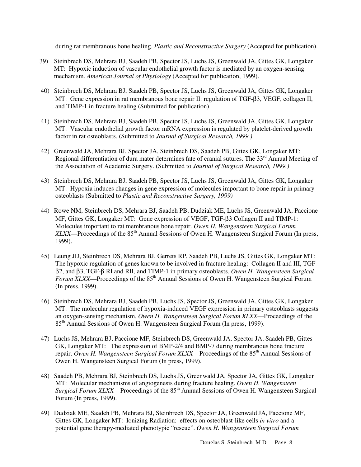during rat membranous bone healing. *Plastic and Reconstructive Surgery* (Accepted for publication).

- 39) Steinbrech DS, Mehrara BJ, Saadeh PB, Spector JS, Luchs JS, Greenwald JA, Gittes GK, Longaker MT: Hypoxic induction of vascular endothelial growth factor is mediated by an oxygen-sensing mechanism. *American Journal of Physiology* (Accepted for publication, 1999).
- 40) Steinbrech DS, Mehrara BJ, Saadeh PB, Spector JS, Luchs JS, Greenwald JA, Gittes GK, Longaker MT: Gene expression in rat membranous bone repair II: regulation of TGF-β3, VEGF, collagen II, and TIMP-1 in fracture healing (Submitted for publication).
- 41) Steinbrech DS, Mehrara BJ, Saadeh PB, Spector JS, Luchs JS, Greenwald JA, Gittes GK, Longaker MT: Vascular endothelial growth factor mRNA expression is regulated by platelet-derived growth factor in rat osteoblasts. (Submitted to *Journal of Surgical Research, 1999.)*
- 42) Greenwald JA, Mehrara BJ, Spector JA, Steinbrech DS, Saadeh PB, Gittes GK, Longaker MT: Regional differentiation of dura mater determines fate of cranial sutures. The  $33<sup>rd</sup>$  Annual Meeting of the Association of Academic Surgery. (Submitted to *Journal of Surgical Research, 1999.)*
- 43) Steinbrech DS, Mehrara BJ, Saadeh PB, Spector JS, Luchs JS, Greenwald JA, Gittes GK, Longaker MT: Hypoxia induces changes in gene expression of molecules important to bone repair in primary osteoblasts (Submitted to *Plastic and Reconstructive Surgery, 1999)*
- 44) Rowe NM, Steinbrech DS, Mehrara BJ, Saadeh PB, Dudziak ME, Luchs JS, Greenwald JA, Paccione MF, Gittes GK, Longaker MT: Gene expression of VEGF, TGF-β3 Collagen II and TIMP-1: Molecules important to rat membranous bone repair. *Owen H. Wangensteen Surgical Forum XLXX*—Proceedings of the 85<sup>th</sup> Annual Sessions of Owen H. Wangensteen Surgical Forum (In press, 1999).
- 45) Leung JD, Steinbrech DS, Mehrara BJ, Gerrets RP, Saadeh PB, Luchs JS, Gittes GK, Longaker MT: The hypoxic regulation of genes known to be involved in fracture healing: Collagen II and III, TGFβ2, and β3, TGF-β RI and RII, and TIMP-1 in primary osteoblasts. *Owen H. Wangensteen Surgical Forum XLXX—Proceedings of the 85<sup>th</sup> Annual Sessions of Owen H. Wangensteen Surgical Forum* (In press, 1999).
- 46) Steinbrech DS, Mehrara BJ, Saadeh PB, Luchs JS, Spector JS, Greenwald JA, Gittes GK, Longaker MT: The molecular regulation of hypoxia-induced VEGF expression in primary osteoblasts suggests an oxygen-sensing mechanism. *Owen H. Wangensteen Surgical Forum XLXX*—Proceedings of the 85th Annual Sessions of Owen H. Wangensteen Surgical Forum (In press, 1999).
- 47) Luchs JS, Mehrara BJ, Paccione MF, Steinbrech DS, Greenwald JA, Spector JA, Saadeh PB, Gittes GK, Longaker MT: The expression of BMP-2/4 and BMP-7 during membranous bone fracture repair. *Owen H. Wangensteen Surgical Forum XLXX*—Proceedings of the 85<sup>th</sup> Annual Sessions of Owen H. Wangensteen Surgical Forum (In press, 1999).
- 48) Saadeh PB, Mehrara BJ, Steinbrech DS, Luchs JS, Greenwald JA, Spector JA, Gittes GK, Longaker MT: Molecular mechanisms of angiogenesis during fracture healing. *Owen H. Wangensteen Surgical Forum XLXX—Proceedings* of the  $85<sup>th</sup>$  Annual Sessions of Owen H. Wangensteen Surgical Forum (In press, 1999).
- 49) Dudziak ME, Saadeh PB, Mehrara BJ, Steinbrech DS, Spector JA, Greenwald JA, Paccione MF, Gittes GK, Longaker MT: Ionizing Radiation: effects on osteoblast-like cells *in vitro* and a potential gene therapy-mediated phenotypic "rescue". *Owen H. Wangensteen Surgical Forum*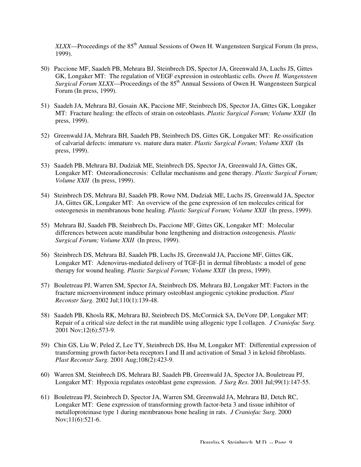*XLXX*—Proceedings of the 85<sup>th</sup> Annual Sessions of Owen H. Wangensteen Surgical Forum (In press, 1999).

- 50) Paccione MF, Saadeh PB, Mehrara BJ, Steinbrech DS, Spector JA, Greenwald JA, Luchs JS, Gittes GK, Longaker MT: The regulation of VEGF expression in osteoblastic cells. *Owen H. Wangensteen Surgical Forum XLXX—Proceedings of the 85<sup>th</sup> Annual Sessions of Owen H. Wangensteen Surgical* Forum (In press, 1999).
- 51) Saadeh JA, Mehrara BJ, Gosain AK, Paccione MF, Steinbrech DS, Spector JA, Gittes GK, Longaker MT: Fracture healing: the effects of strain on osteoblasts. *Plastic Surgical Forum; Volume XXII* (In press, 1999).
- 52) Greenwald JA, Mehrara BH, Saadeh PB, Steinbrech DS, Gittes GK, Longaker MT: Re-ossification of calvarial defects: immature vs. mature dura mater. *Plastic Surgical Forum; Volume XXII* (In press, 1999).
- 53) Saadeh PB, Mehrara BJ, Dudziak ME, Steinbrech DS, Spector JA, Greenwald JA, Gittes GK, Longaker MT: Osteoradionecrosis: Cellular mechanisms and gene therapy. *Plastic Surgical Forum; Volume XXII* (In press, 1999).
- 54) Steinbrech DS, Mehrara BJ, Saadeh PB, Rowe NM, Dudziak ME, Luchs JS, Greenwald JA, Spector JA, Gittes GK, Longaker MT: An overview of the gene expression of ten molecules critical for osteogenesis in membranous bone healing. *Plastic Surgical Forum; Volume XXII* (In press, 1999).
- 55) Mehrara BJ, Saadeh PB, Steinbrech Ds, Paccione MF, Gittes GK, Longaker MT: Molecular differences between acute mandibular bone lengthening and distraction osteogenesis. *Plastic Surgical Forum; Volume XXII* (In press, 1999).
- 56) Steinbrech DS, Mehrara BJ, Saadeh PB, Luchs JS, Greenwald JA, Paccione MF, Gittes GK, Longaker MT: Adenovirus-mediated delivery of TGF-β1 in dermal fibroblasts: a model of gene therapy for wound healing. *Plastic Surgical Forum; Volume XXII* (In press, 1999).
- 57) Bouletreau PJ, Warren SM, Spector JA, Steinbrech DS, Mehrara BJ, Longaker MT: Factors in the fracture microenvironment induce primary osteoblast angiogenic cytokine production. *Plast Reconstr Surg.* 2002 Jul;110(1):139-48.
- 58) Saadeh PB, Khosla RK, Mehrara BJ, Steinbrech DS, McCormick SA, DeVore DP, Longaker MT: Repair of a critical size defect in the rat mandible using allogenic type I collagen. *J Craniofac Surg.* 2001 Nov;12(6):573-9.
- 59) Chin GS, Liu W, Peled Z, Lee TY, Steinbrech DS, Hsu M, Longaker MT: Differential expression of transforming growth factor-beta receptors I and II and activation of Smad 3 in keloid fibroblasts. *Plast Reconstr Surg.* 2001 Aug;108(2):423-9.
- 60) Warren SM, Steinbrech DS, Mehrara BJ, Saadeh PB, Greenwald JA, Spector JA, Bouletreau PJ, Longaker MT: Hypoxia regulates osteoblast gene expression. *J Surg Res*. 2001 Jul;99(1):147-55.
- 61) Bouletreau PJ, Steinbrech D, Spector JA, Warren SM, Greenwald JA, Mehrara BJ, Detch RC, Longaker MT: Gene expression of transforming growth factor-beta 3 and tissue inhibitor of metalloproteinase type 1 during membranous bone healing in rats. *J Craniofac Surg.* 2000 Nov;11(6):521-6.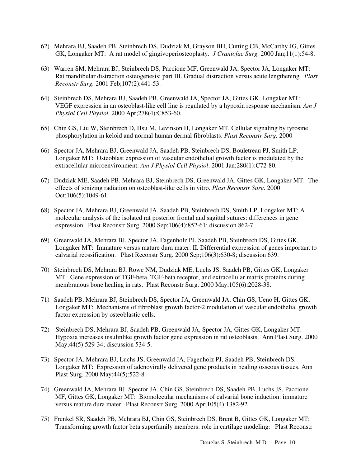- 62) Mehrara BJ, Saadeh PB, Steinbrech DS, Dudziak M, Grayson BH, Cutting CB, McCarthy JG, Gittes GK, Longaker MT: A rat model of gingivoperiosteoplasty. *J Craniofac Surg.* 2000 Jan;11(1):54-8.
- 63) Warren SM, Mehrara BJ, Steinbrech DS, Paccione MF, Greenwald JA, Spector JA, Longaker MT: Rat mandibular distraction osteogenesis: part III. Gradual distraction versus acute lengthening*. Plast Reconstr Surg.* 2001 Feb;107(2):441-53.
- 64) Steinbrech DS, Mehrara BJ, Saadeh PB, Greenwald JA, Spector JA, Gittes GK, Longaker MT: VEGF expression in an osteoblast-like cell line is regulated by a hypoxia response mechanism. *Am J Physiol Cell Physiol.* 2000 Apr;278(4):C853-60.
- 65) Chin GS, Liu W, Steinbrech D, Hsu M, Levinson H, Longaker MT. Cellular signaling by tyrosine phosphorylation in keloid and normal human dermal fibroblasts. *Plast Reconstr Surg.* 2000
- 66) Spector JA, Mehrara BJ, Greenwald JA, Saadeh PB, Steinbrech DS, Bouletreau PJ, Smith LP, Longaker MT: Osteoblast expression of vascular endothelial growth factor is modulated by the extracellular microenvironment. *Am J Physiol Cell Physiol*. 2001 Jan;280(1):C72-80.
- 67) Dudziak ME, Saadeh PB, Mehrara BJ, Steinbrech DS, Greenwald JA, Gittes GK, Longaker MT: The effects of ionizing radiation on osteoblast-like cells in vitro. *Plast Reconstr Surg.* 2000 Oct;106(5):1049-61.
- 68) Spector JA, Mehrara BJ, Greenwald JA, Saadeh PB, Steinbrech DS, Smith LP, Longaker MT: A molecular analysis of the isolated rat posterior frontal and sagittal sutures: differences in gene expression. Plast Reconstr Surg. 2000 Sep;106(4):852-61; discussion 862-7.
- 69) Greenwald JA, Mehrara BJ, Spector JA, Fagenholz PJ, Saadeh PB, Steinbrech DS, Gittes GK, Longaker MT: Immature versus mature dura mater: II. Differential expression of genes important to calvarial reossification. Plast Reconstr Surg. 2000 Sep;106(3):630-8; discussion 639.
- 70) Steinbrech DS, Mehrara BJ, Rowe NM, Dudziak ME, Luchs JS, Saadeh PB, Gittes GK, Longaker MT: Gene expression of TGF-beta, TGF-beta receptor, and extracellular matrix proteins during membranous bone healing in rats. Plast Reconstr Surg. 2000 May;105(6):2028-38.
- 71) Saadeh PB, Mehrara BJ, Steinbrech DS, Spector JA, Greenwald JA, Chin GS, Ueno H, Gittes GK, Longaker MT: Mechanisms of fibroblast growth factor-2 modulation of vascular endothelial growth factor expression by osteoblastic cells.
- 72) Steinbrech DS, Mehrara BJ, Saadeh PB, Greenwald JA, Spector JA, Gittes GK, Longaker MT: Hypoxia increases insulinlike growth factor gene expression in rat osteoblasts. Ann Plast Surg. 2000 May;44(5):529-34; discussion 534-5.
- 73) Spector JA, Mehrara BJ, Luchs JS, Greenwald JA, Fagenholz PJ, Saadeh PB, Steinbrech DS, Longaker MT: Expression of adenovirally delivered gene products in healing osseous tissues. Ann Plast Surg. 2000 May;44(5):522-8.
- 74) Greenwald JA, Mehrara BJ, Spector JA, Chin GS, Steinbrech DS, Saadeh PB, Luchs JS, Paccione MF, Gittes GK, Longaker MT: Biomolecular mechanisms of calvarial bone induction: immature versus mature dura mater. Plast Reconstr Surg. 2000 Apr;105(4):1382-92.
- 75) Frenkel SR, Saadeh PB, Mehrara BJ, Chin GS, Steinbrech DS, Brent B, Gittes GK, Longaker MT: Transforming growth factor beta superfamily members: role in cartilage modeling: Plast Reconstr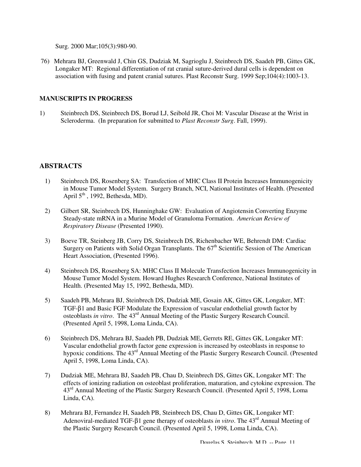Surg. 2000 Mar;105(3):980-90.

76) Mehrara BJ, Greenwald J, Chin GS, Dudziak M, Sagrioglu J, Steinbrech DS, Saadeh PB, Gittes GK, Longaker MT: Regional differentiation of rat cranial suture-derived dural cells is dependent on association with fusing and patent cranial sutures. Plast Reconstr Surg. 1999 Sep;104(4):1003-13.

#### **MANUSCRIPTS IN PROGRESS**

1) Steinbrech DS, Steinbrech DS, Borud LJ, Seibold JR, Choi M: Vascular Disease at the Wrist in Scleroderma. (In preparation for submitted to *Plast Reconstr Surg*. Fall, 1999).

## **ABSTRACTS**

- 1) Steinbrech DS, Rosenberg SA: Transfection of MHC Class II Protein Increases Immunogenicity in Mouse Tumor Model System. Surgery Branch, NCI, National Institutes of Health. (Presented April  $5<sup>th</sup>$ , 1992, Bethesda, MD).
- 2) Gilbert SR, Steinbrech DS, Hunninghake GW: Evaluation of Angiotensin Converting Enzyme Steady-state mRNA in a Murine Model of Granuloma Formation. *American Review of Respiratory Disease* (Presented 1990).
- 3) Boeve TR, Steinberg JB, Corry DS, Steinbrech DS, Richenbacher WE, Behrendt DM: Cardiac Surgery on Patients with Solid Organ Transplants. The  $67<sup>th</sup>$  Scientific Session of The American Heart Association, (Presented 1996).
- 4) Steinbrech DS, Rosenberg SA: MHC Class II Molecule Transfection Increases Immunogenicity in Mouse Tumor Model System. Howard Hughes Research Conference, National Institutes of Health. (Presented May 15, 1992, Bethesda, MD).
- 5) Saadeh PB, Mehrara BJ, Steinbrech DS, Dudziak ME, Gosain AK, Gittes GK, Longaker, MT: TGF-β1 and Basic FGF Modulate the Expression of vascular endothelial growth factor by osteoblasts *in vitro*. The 43rd Annual Meeting of the Plastic Surgery Research Council. (Presented April 5, 1998, Loma Linda, CA).
- 6) Steinbrech DS, Mehrara BJ, Saadeh PB, Dudziak ME, Gerrets RE, Gittes GK, Longaker MT: Vascular endothelial growth factor gene expression is increased by osteoblasts in response to hypoxic conditions. The 43<sup>rd</sup> Annual Meeting of the Plastic Surgery Research Council. (Presented April 5, 1998, Loma Linda, CA).
- 7) Dudziak ME, Mehrara BJ, Saadeh PB, Chau D, Steinbrech DS, Gittes GK, Longaker MT: The effects of ionizing radiation on osteoblast proliferation, maturation, and cytokine expression. The 43rd Annual Meeting of the Plastic Surgery Research Council. (Presented April 5, 1998, Loma Linda, CA).
- 8) Mehrara BJ, Fernandez H, Saadeh PB, Steinbrech DS, Chau D, Gittes GK, Longaker MT: Adenoviral-mediated TGF-β1 gene therapy of osteoblasts *in vitro*. The 43rd Annual Meeting of the Plastic Surgery Research Council. (Presented April 5, 1998, Loma Linda, CA).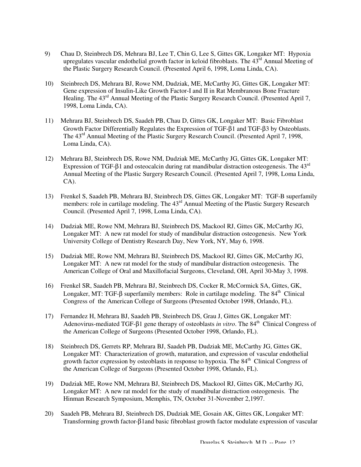- 9) Chau D, Steinbrech DS, Mehrara BJ, Lee T, Chin G, Lee S, Gittes GK, Longaker MT: Hypoxia upregulates vascular endothelial growth factor in keloid fibroblasts. The  $43<sup>rd</sup>$  Annual Meeting of the Plastic Surgery Research Council. (Presented April 6, 1998, Loma Linda, CA).
- 10) Steinbrech DS, Mehrara BJ, Rowe NM, Dudziak, ME, McCarthy JG, Gittes GK, Longaker MT: Gene expression of Insulin-Like Growth Factor-I and II in Rat Membranous Bone Fracture Healing. The 43<sup>rd</sup> Annual Meeting of the Plastic Surgery Research Council. (Presented April 7, 1998, Loma Linda, CA).
- 11) Mehrara BJ, Steinbrech DS, Saadeh PB, Chau D, Gittes GK, Longaker MT: Basic Fibroblast Growth Factor Differentially Regulates the Expression of TGF-β1 and TGF-β3 by Osteoblasts. The 43<sup>rd</sup> Annual Meeting of the Plastic Surgery Research Council. (Presented April 7, 1998, Loma Linda, CA).
- 12) Mehrara BJ, Steinbrech DS, Rowe NM, Dudziak ME, McCarthy JG, Gittes GK, Longaker MT: Expression of TGF- $\beta$ 1 and osteocalcin during rat mandibular distraction osteogenesis. The 43<sup>rd</sup> Annual Meeting of the Plastic Surgery Research Council. (Presented April 7, 1998, Loma Linda, CA).
- 13) Frenkel S, Saadeh PB, Mehrara BJ, Steinbrech DS, Gittes GK, Longaker MT: TGF-B superfamily members: role in cartilage modeling. The 43<sup>rd</sup> Annual Meeting of the Plastic Surgery Research Council. (Presented April 7, 1998, Loma Linda, CA).
- 14) Dudziak ME, Rowe NM, Mehrara BJ, Steinbrech DS, Mackool RJ, Gittes GK, McCarthy JG, Longaker MT: A new rat model for study of mandibular distraction osteogenesis. New York University College of Dentistry Research Day, New York, NY, May 6, 1998.
- 15) Dudziak ME, Rowe NM, Mehrara BJ, Steinbrech DS, Mackool RJ, Gittes GK, McCarthy JG, Longaker MT: A new rat model for the study of mandibular distraction osteogenesis. The American College of Oral and Maxillofacial Surgeons, Cleveland, OH, April 30-May 3, 1998.
- 16) Frenkel SR, Saadeh PB, Mehrara BJ, Steinbrech DS, Cocker R, McCormick SA, Gittes, GK, Longaker, MT: TGF- $\beta$  superfamily members: Role in cartilage modeling. The  $84<sup>th</sup>$  Clinical Congress of the American College of Surgeons (Presented October 1998, Orlando, FL).
- 17) Fernandez H, Mehrara BJ, Saadeh PB, Steinbrech DS, Grau J, Gittes GK, Longaker MT: Adenovirus-mediated TGF-β1 gene therapy of osteoblasts *in vitro*. The 84<sup>th</sup> Clinical Congress of the American College of Surgeons (Presented October 1998, Orlando, FL).
- 18) Steinbrech DS, Gerrets RP, Mehrara BJ, Saadeh PB, Dudziak ME, McCarthy JG, Gittes GK, Longaker MT: Characterization of growth, maturation, and expression of vascular endothelial growth factor expression by osteoblasts in response to hypoxia. The 84<sup>th</sup> Clinical Congress of the American College of Surgeons (Presented October 1998, Orlando, FL).
- 19) Dudziak ME, Rowe NM, Mehrara BJ, Steinbrech DS, Mackool RJ, Gittes GK, McCarthy JG, Longaker MT: A new rat model for the study of mandibular distraction osteogenesis. The Hinman Research Symposium, Memphis, TN, October 31-November 2,1997.
- 20) Saadeh PB, Mehrara BJ, Steinbrech DS, Dudziak ME, Gosain AK, Gittes GK, Longaker MT: Transforming growth factor-β1and basic fibroblast growth factor modulate expression of vascular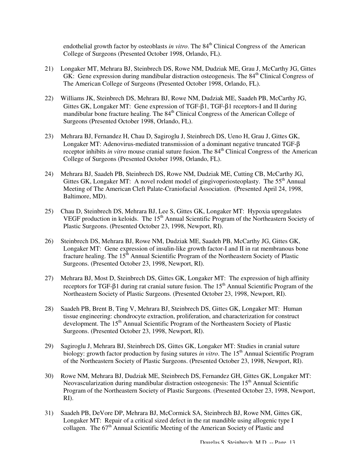endothelial growth factor by osteoblasts *in vitro*. The 84<sup>th</sup> Clinical Congress of the American College of Surgeons (Presented October 1998, Orlando, FL).

- 21) Longaker MT, Mehrara BJ, Steinbrech DS, Rowe NM, Dudziak ME, Grau J, McCarthy JG, Gittes GK: Gene expression during mandibular distraction osteogenesis. The 84<sup>th</sup> Clinical Congress of The American College of Surgeons (Presented October 1998, Orlando, FL).
- 22) Williams JK, Steinbrech DS, Mehrara BJ, Rowe NM, Dudziak ME, Saadeh PB, McCarthy JG, Gittes GK, Longaker MT: Gene expression of TGF-β1, TGF-β1 receptors-I and II during mandibular bone fracture healing. The  $84<sup>th</sup>$  Clinical Congress of the American College of Surgeons (Presented October 1998, Orlando, FL).
- 23) Mehrara BJ, Fernandez H, Chau D, Sagiroglu J, Steinbrech DS, Ueno H, Grau J, Gittes GK, Longaker MT: Adenovirus-mediated transmission of a dominant negative truncated TGF-β receptor inhibits *in vitro* mouse cranial suture fusion. The 84<sup>th</sup> Clinical Congress of the American College of Surgeons (Presented October 1998, Orlando, FL).
- 24) Mehrara BJ, Saadeh PB, Steinbrech DS, Rowe NM, Dudziak ME, Cutting CB, McCarthy JG, Gittes GK, Longaker MT: A novel rodent model of gingivoperiosteoplasty. The  $55<sup>th</sup>$  Annual Meeting of The American Cleft Palate-Craniofacial Association. (Presented April 24, 1998, Baltimore, MD).
- 25) Chau D, Steinbrech DS, Mehrara BJ, Lee S, Gittes GK, Longaker MT: Hypoxia upregulates VEGF production in keloids. The 15<sup>th</sup> Annual Scientific Program of the Northeastern Society of Plastic Surgeons. (Presented October 23, 1998, Newport, RI).
- 26) Steinbrech DS, Mehrara BJ, Rowe NM, Dudziak ME, Saadeh PB, McCarthy JG, Gittes GK, Longaker MT: Gene expression of insulin-like growth factor-I and II in rat membranous bone fracture healing. The  $15<sup>th</sup>$  Annual Scientific Program of the Northeastern Society of Plastic Surgeons. (Presented October 23, 1998, Newport, RI).
- 27) Mehrara BJ, Most D, Steinbrech DS, Gittes GK, Longaker MT: The expression of high affinity receptors for TGF-β1 during rat cranial suture fusion. The 15<sup>th</sup> Annual Scientific Program of the Northeastern Society of Plastic Surgeons. (Presented October 23, 1998, Newport, RI).
- 28) Saadeh PB, Brent B, Ting V, Mehrara BJ, Steinbrech DS, Gittes GK, Longaker MT: Human tissue engineering: chondrocyte extraction, proliferation, and characterization for construct development. The 15<sup>th</sup> Annual Scientific Program of the Northeastern Society of Plastic Surgeons. (Presented October 23, 1998, Newport, RI).
- 29) Sagiroglu J, Mehrara BJ, Steinbrech DS, Gittes GK, Longaker MT: Studies in cranial suture biology: growth factor production by fusing sutures *in vitro*. The 15<sup>th</sup> Annual Scientific Program of the Northeastern Society of Plastic Surgeons. (Presented October 23, 1998, Newport, RI).
- 30) Rowe NM, Mehrara BJ, Dudziak ME, Steinbrech DS, Fernandez GH, Gittes GK, Longaker MT: Neovascularization during mandibular distraction osteogenesis: The 15<sup>th</sup> Annual Scientific Program of the Northeastern Society of Plastic Surgeons. (Presented October 23, 1998, Newport, RI).
- 31) Saadeh PB, DeVore DP, Mehrara BJ, McCormick SA, Steinbrech BJ, Rowe NM, Gittes GK, Longaker MT: Repair of a critical sized defect in the rat mandible using allogenic type I collagen. The 67<sup>th</sup> Annual Scientific Meeting of the American Society of Plastic and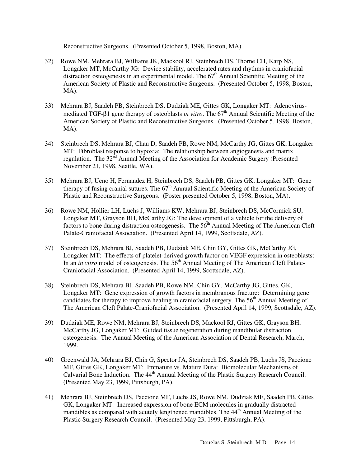Reconstructive Surgeons. (Presented October 5, 1998, Boston, MA).

- 32) Rowe NM, Mehrara BJ, Williams JK, Mackool RJ, Steinbrech DS, Thorne CH, Karp NS, Longaker MT, McCarthy JG: Device stability, accelerated rates and rhythms in craniofacial distraction osteogenesis in an experimental model. The  $67<sup>th</sup>$  Annual Scientific Meeting of the American Society of Plastic and Reconstructive Surgeons. (Presented October 5, 1998, Boston, MA).
- 33) Mehrara BJ, Saadeh PB, Steinbrech DS, Dudziak ME, Gittes GK, Longaker MT: Adenovirusmediated TGF-β1 gene therapy of osteoblasts *in vitro*. The 67<sup>th</sup> Annual Scientific Meeting of the American Society of Plastic and Reconstructive Surgeons. (Presented October 5, 1998, Boston, MA).
- 34) Steinbrech DS, Mehrara BJ, Chau D, Saadeh PB, Rowe NM, McCarthy JG, Gittes GK, Longaker MT: Fibroblast response to hypoxia: The relationship between angiogenesis and matrix regulation. The 32<sup>nd</sup> Annual Meeting of the Association for Academic Surgery (Presented November 21, 1998, Seattle, WA).
- 35) Mehrara BJ, Ueno H, Fernandez H, Steinbrech DS, Saadeh PB, Gittes GK, Longaker MT: Gene therapy of fusing cranial sutures. The  $67<sup>th</sup>$  Annual Scientific Meeting of the American Society of Plastic and Reconstructive Surgeons. (Poster presented October 5, 1998, Boston, MA).
- 36) Rowe NM, Hollier LH, Luchs J, Williams KW, Mehrara BJ, Steinbrech DS, McCormick SU, Longaker MT, Grayson BH, McCarthy JG: The development of a vehicle for the delivery of factors to bone during distraction osteogenesis. The  $56<sup>th</sup>$  Annual Meeting of The American Cleft Palate-Craniofacial Association. (Presented April 14, 1999, Scottsdale, AZ).
- 37) Steinbrech DS, Mehrara BJ, Saadeh PB, Dudziak ME, Chin GY, Gittes GK, McCarthy JG, Longaker MT: The effects of platelet-derived growth factor on VEGF expression in osteoblasts: In an *in vitro* model of osteogenesis. The 56<sup>th</sup> Annual Meeting of The American Cleft Palate-Craniofacial Association. (Presented April 14, 1999, Scottsdale, AZ).
- 38) Steinbrech DS, Mehrara BJ, Saadeh PB, Rowe NM, Chin GY, McCarthy JG, Gittes, GK, Longaker MT: Gene expression of growth factors in membranous fracture: Determining gene candidates for therapy to improve healing in craniofacial surgery. The 56<sup>th</sup> Annual Meeting of The American Cleft Palate-Craniofacial Association. (Presented April 14, 1999, Scottsdale, AZ).
- 39) Dudziak ME, Rowe NM, Mehrara BJ, Steinbrech DS, Mackool RJ, Gittes GK, Grayson BH, McCarthy JG, Longaker MT: Guided tissue regeneration during mandibular distraction osteogenesis. The Annual Meeting of the American Association of Dental Research, March, 1999.
- 40) Greenwald JA, Mehrara BJ, Chin G, Spector JA, Steinbrech DS, Saadeh PB, Luchs JS, Paccione MF, Gittes GK, Longaker MT: Immature vs. Mature Dura: Biomolecular Mechanisms of Calvarial Bone Induction. The 44<sup>th</sup> Annual Meeting of the Plastic Surgery Research Council. (Presented May 23, 1999, Pittsburgh, PA).
- 41) Mehrara BJ, Steinbrech DS, Paccione MF, Luchs JS, Rowe NM, Dudziak ME, Saadeh PB, Gittes GK, Longaker MT: Increased expression of bone ECM molecules in gradually distracted mandibles as compared with acutely lengthened mandibles. The 44<sup>th</sup> Annual Meeting of the Plastic Surgery Research Council. (Presented May 23, 1999, Pittsburgh, PA).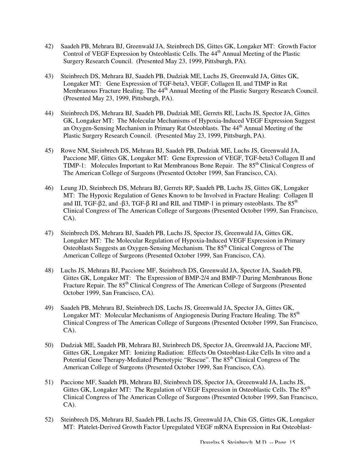- 42) Saadeh PB, Mehrara BJ, Greenwald JA, Steinbrech DS, Gittes GK, Longaker MT: Growth Factor Control of VEGF Expression by Osteoblastic Cells. The 44<sup>th</sup> Annual Meeting of the Plastic Surgery Research Council. (Presented May 23, 1999, Pittsburgh, PA).
- 43) Steinbrech DS, Mehrara BJ, Saadeh PB, Dudziak ME, Luchs JS, Greenwald JA, Gittes GK, Longaker MT: Gene Expression of TGF-beta3, VEGF, Collagen II, and TIMP in Rat Membranous Fracture Healing. The 44<sup>th</sup> Annual Meeting of the Plastic Surgery Research Council. (Presented May 23, 1999, Pittsburgh, PA).
- 44) Steinbrech DS, Mehrara BJ, Saadeh PB, Dudziak ME, Gerrets RE, Luchs JS, Spector JA, Gittes GK, Longaker MT: The Molecular Mechanisms of Hypoxia-Induced VEGF Expression Suggest an Oxygen-Sensing Mechanism in Primary Rat Osteoblasts. The 44<sup>th</sup> Annual Meeting of the Plastic Surgery Research Council. (Presented May 23, 1999, Pittsburgh, PA).
- 45) Rowe NM, Steinbrech DS, Mehrara BJ, Saadeh PB, Dudziak ME, Luchs JS, Greenwald JA, Paccione MF, Gittes GK, Longaker MT: Gene Expression of VEGF, TGF-beta3 Collagen II and TIMP-1: Molecules Important to Rat Membranous Bone Repair. The 85<sup>th</sup> Clinical Congress of The American College of Surgeons (Presented October 1999, San Francisco, CA).
- 46) Leung JD, Steinbrech DS, Mehrara BJ, Gerrets RP, Saadeh PB, Luchs JS, Gittes GK, Longaker MT: The Hypoxic Regulation of Genes Known to be Involved in Fracture Healing: Collagen II and III, TGF-β2, and -β3, TGF-β RI and RII, and TIMP-1 in primary osteoblasts. The  $85<sup>th</sup>$ Clinical Congress of The American College of Surgeons (Presented October 1999, San Francisco,  $CA$ ).
- 47) Steinbrech DS, Mehrara BJ, Saadeh PB, Luchs JS, Spector JS, Greenwald JA, Gittes GK, Longaker MT: The Molecular Regulation of Hypoxia-Induced VEGF Expression in Primary Osteoblasts Suggests an Oxygen-Sensing Mechanism. The 85<sup>th</sup> Clinical Congress of The American College of Surgeons (Presented October 1999, San Francisco, CA).
- 48) Luchs JS, Mehrara BJ, Paccione MF, Steinbrech DS, Greenwald JA, Spector JA, Saadeh PB, Gittes GK, Longaker MT: The Expression of BMP-2/4 and BMP-7 During Membranous Bone Fracture Repair. The 85<sup>th</sup> Clinical Congress of The American College of Surgeons (Presented October 1999, San Francisco, CA).
- 49) Saadeh PB, Mehrara BJ, Steinbrech DS, Luchs JS, Greenwald JA, Spector JA, Gittes GK, Longaker MT: Molecular Mechanisms of Angiogenesis During Fracture Healing. The 85<sup>th</sup> Clinical Congress of The American College of Surgeons (Presented October 1999, San Francisco, CA).
- 50) Dudziak ME, Saadeh PB, Mehrara BJ, Steinbrech DS, Spector JA, Greenwald JA, Paccione MF, Gittes GK, Longaker MT: Ionizing Radiation: Effects On Osteoblast-Like Cells In vitro and a Potential Gene Therapy-Mediated Phenotypic "Rescue". The 85<sup>th</sup> Clinical Congress of The American College of Surgeons (Presented October 1999, San Francisco, CA).
- 51) Paccione MF, Saadeh PB, Mehrara BJ, Steinbrech DS, Spector JA, Greeenwald JA, Luchs JS, Gittes GK, Longaker MT: The Regulation of VEGF Expression in Osteoblastic Cells. The 85<sup>th</sup> Clinical Congress of The American College of Surgeons (Presented October 1999, San Francisco, CA).
- 52) Steinbrech DS, Mehrara BJ, Saadeh PB, Luchs JS, Greenwald JA, Chin GS, Gittes GK, Longaker MT: Platelet-Derived Growth Factor Upregulated VEGF mRNA Expression in Rat Osteoblast-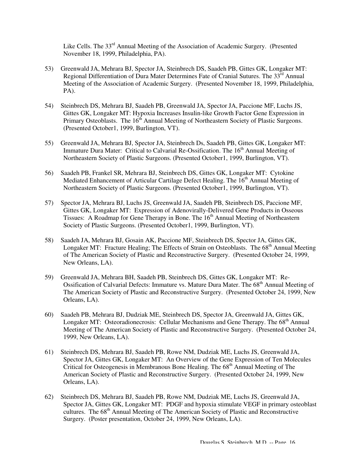Like Cells. The 33<sup>rd</sup> Annual Meeting of the Association of Academic Surgery. (Presented November 18, 1999, Philadelphia, PA).

- 53) Greenwald JA, Mehrara BJ, Spector JA, Steinbrech DS, Saadeh PB, Gittes GK, Longaker MT: Regional Differentiation of Dura Mater Determines Fate of Cranial Sutures. The  $33<sup>rd</sup>$  Annual Meeting of the Association of Academic Surgery. (Presented November 18, 1999, Philadelphia, PA).
- 54) Steinbrech DS, Mehrara BJ, Saadeh PB, Greenwald JA, Spector JA, Paccione MF, Luchs JS, Gittes GK, Longaker MT: Hypoxia Increases Insulin-like Growth Factor Gene Expression in Primary Osteoblasts. The 16<sup>th</sup> Annual Meeting of Northeastern Society of Plastic Surgeons. (Presented October1, 1999, Burlington, VT).
- 55) Greenwald JA, Mehrara BJ, Spector JA, Steinbrech Ds, Saadeh PB, Gittes GK, Longaker MT: Immature Dura Mater: Critical to Calvarial Re-Ossification. The 16<sup>th</sup> Annual Meeting of Northeastern Society of Plastic Surgeons. (Presented October1, 1999, Burlington, VT).
- 56) Saadeh PB, Frankel SR, Mehrara BJ, Steinbrech DS, Gittes GK, Longaker MT: Cytokine Mediated Enhancement of Articular Cartilage Defect Healing. The  $16<sup>th</sup>$  Annual Meeting of Northeastern Society of Plastic Surgeons. (Presented October1, 1999, Burlington, VT).
- 57) Spector JA, Mehrara BJ, Luchs JS, Greenwald JA, Saadeh PB, Steinbrech DS, Paccione MF, Gittes GK, Longaker MT: Expression of Adenovirally-Delivered Gene Products in Osseous Tissues: A Roadmap for Gene Therapy in Bone. The 16<sup>th</sup> Annual Meeting of Northeastern Society of Plastic Surgeons. (Presented October1, 1999, Burlington, VT).
- 58) Saadeh JA, Mehrara BJ, Gosain AK, Paccione MF, Steinbrech DS, Spector JA, Gittes GK, Longaker MT: Fracture Healing; The Effects of Strain on Osteoblasts. The 68<sup>th</sup> Annual Meeting of The American Society of Plastic and Reconstructive Surgery. (Presented October 24, 1999, New Orleans, LA).
- 59) Greenwald JA, Mehrara BH, Saadeh PB, Steinbrech DS, Gittes GK, Longaker MT: Re-Ossification of Calvarial Defects: Immature vs. Mature Dura Mater. The 68<sup>th</sup> Annual Meeting of The American Society of Plastic and Reconstructive Surgery. (Presented October 24, 1999, New Orleans, LA).
- 60) Saadeh PB, Mehrara BJ, Dudziak ME, Steinbrech DS, Spector JA, Greenwald JA, Gittes GK, Longaker MT: Osteoradionecrosis: Cellular Mechanisms and Gene Therapy. The  $68<sup>th</sup>$  Annual Meeting of The American Society of Plastic and Reconstructive Surgery. (Presented October 24, 1999, New Orleans, LA).
- 61) Steinbrech DS, Mehrara BJ, Saadeh PB, Rowe NM, Dudziak ME, Luchs JS, Greenwald JA, Spector JA, Gittes GK, Longaker MT: An Overview of the Gene Expression of Ten Molecules Critical for Osteogenesis in Membranous Bone Healing. The 68<sup>th</sup> Annual Meeting of The American Society of Plastic and Reconstructive Surgery. (Presented October 24, 1999, New Orleans, LA).
- 62) Steinbrech DS, Mehrara BJ, Saadeh PB, Rowe NM, Dudziak ME, Luchs JS, Greenwald JA, Spector JA, Gittes GK, Longaker MT: PDGF and hypoxia stimulate VEGF in primary osteoblast cultures. The 68<sup>th</sup> Annual Meeting of The American Society of Plastic and Reconstructive Surgery. (Poster presentation, October 24, 1999, New Orleans, LA).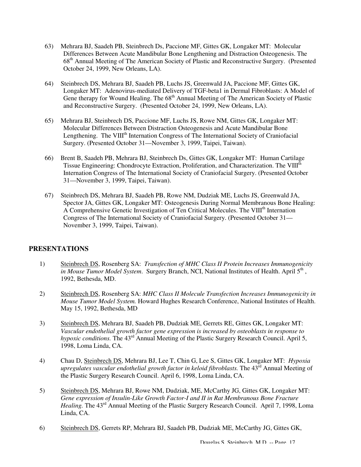- 63) Mehrara BJ, Saadeh PB, Steinbrech Ds, Paccione MF, Gittes GK, Longaker MT: Molecular Differences Between Acute Mandibular Bone Lengthening and Distraction Osteogenesis. The 68th Annual Meeting of The American Society of Plastic and Reconstructive Surgery. (Presented October 24, 1999, New Orleans, LA).
- 64) Steinbrech DS, Mehrara BJ, Saadeh PB, Luchs JS, Greenwald JA, Paccione MF, Gittes GK, Longaker MT: Adenovirus-mediated Delivery of TGF-beta1 in Dermal Fibroblasts: A Model of Gene therapy for Wound Healing. The  $68<sup>th</sup>$  Annual Meeting of The American Society of Plastic and Reconstructive Surgery. (Presented October 24, 1999, New Orleans, LA).
- 65) Mehrara BJ, Steinbrech DS, Paccione MF, Luchs JS, Rowe NM, Gittes GK, Longaker MT: Molecular Differences Between Distraction Osteogenesis and Acute Mandibular Bone Lengthening. The VIII<sup>th</sup> Internation Congress of The International Society of Craniofacial Surgery. (Presented October 31—November 3, 1999, Taipei, Taiwan).
- 66) Brent B, Saadeh PB, Mehrara BJ, Steinbrech Ds, Gittes GK, Longaker MT: Human Cartilage Tissue Engineering: Chondrocyte Extraction, Proliferation, and Characterization. The VIII<sup>th</sup> Internation Congress of The International Society of Craniofacial Surgery. (Presented October 31—November 3, 1999, Taipei, Taiwan).
- 67) Steinbrech DS, Mehrara BJ, Saadeh PB, Rowe NM, Dudziak ME, Luchs JS, Greenwald JA, Spector JA, Gittes GK, Longaker MT: Osteogenesis During Normal Membranous Bone Healing: A Comprehensive Genetic Investigation of Ten Critical Molecules. The VIII<sup>th</sup> Internation Congress of The International Society of Craniofacial Surgery. (Presented October 31— November 3, 1999, Taipei, Taiwan).

## **PRESENTATIONS**

- 1) Steinbrech DS, Rosenberg SA: *Transfection of MHC Class II Protein Increases Immunogenicity in Mouse Tumor Model System.* Surgery Branch, NCI, National Institutes of Health. April 5<sup>th</sup>, 1992, Bethesda, MD.
- 2) Steinbrech DS, Rosenberg SA: *MHC Class II Molecule Transfection Increases Immunogenicity in Mouse Tumor Model System.* Howard Hughes Research Conference, National Institutes of Health. May 15, 1992, Bethesda, MD
- 3) Steinbrech DS, Mehrara BJ, Saadeh PB, Dudziak ME, Gerrets RE, Gittes GK, Longaker MT: *Vascular endothelial growth factor gene expression is increased by osteoblasts in response to hypoxic conditions.* The 43<sup>rd</sup> Annual Meeting of the Plastic Surgery Research Council. April 5, 1998, Loma Linda, CA.
- 4) Chau D, Steinbrech DS, Mehrara BJ, Lee T, Chin G, Lee S, Gittes GK, Longaker MT: *Hypoxia upregulates vascular endothelial growth factor in keloid fibroblasts.* The 43<sup>rd</sup> Annual Meeting of the Plastic Surgery Research Council. April 6, 1998, Loma Linda, CA.
- 5) Steinbrech DS, Mehrara BJ, Rowe NM, Dudziak, ME, McCarthy JG, Gittes GK, Longaker MT: *Gene expression of Insulin-Like Growth Factor-I and II in Rat Membranous Bone Fracture Healing.* The 43<sup>rd</sup> Annual Meeting of the Plastic Surgery Research Council. April 7, 1998, Loma Linda, CA.
- 6) Steinbrech DS, Gerrets RP, Mehrara BJ, Saadeh PB, Dudziak ME, McCarthy JG, Gittes GK,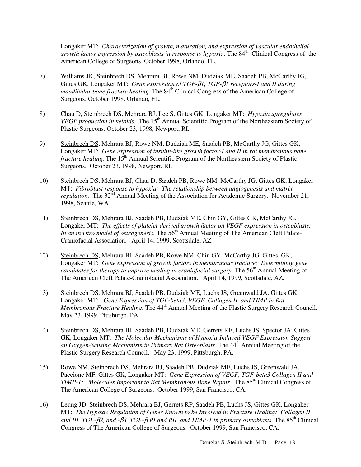Longaker MT: *Characterization of growth, maturation, and expression of vascular endothelial*  growth factor expression by osteoblasts in response to hypoxia. The 84<sup>th</sup> Clinical Congress of the American College of Surgeons. October 1998, Orlando, FL.

- 7) Williams JK, Steinbrech DS, Mehrara BJ, Rowe NM, Dudziak ME, Saadeh PB, McCarthy JG, Gittes GK, Longaker MT: *Gene expression of TGF-*β*1, TGF-*β*1 receptors-I and II during mandibular bone fracture healing.* The 84<sup>th</sup> Clinical Congress of the American College of Surgeons. October 1998, Orlando, FL.
- 8) Chau D, Steinbrech DS, Mehrara BJ, Lee S, Gittes GK, Longaker MT: *Hypoxia upregulates VEGF production in keloids.* The 15<sup>th</sup> Annual Scientific Program of the Northeastern Society of Plastic Surgeons. October 23, 1998, Newport, RI.
- 9) Steinbrech DS, Mehrara BJ, Rowe NM, Dudziak ME, Saadeh PB, McCarthy JG, Gittes GK, Longaker MT: *Gene expression of insulin-like growth factor-I and II in rat membranous bone fracture healing.* The 15<sup>th</sup> Annual Scientific Program of the Northeastern Society of Plastic Surgeons. October 23, 1998, Newport, RI.
- 10) Steinbrech DS, Mehrara BJ, Chau D, Saadeh PB, Rowe NM, McCarthy JG, Gittes GK, Longaker MT: *Fibroblast response to hypoxia: The relationship between angiogenesis and matrix regulation.* The 32<sup>nd</sup> Annual Meeting of the Association for Academic Surgery. November 21, 1998, Seattle, WA.
- 11) Steinbrech DS, Mehrara BJ, Saadeh PB, Dudziak ME, Chin GY, Gittes GK, McCarthy JG, Longaker MT: *The effects of platelet-derived growth factor on VEGF expression in osteoblasts:*  In an in vitro model of osteogenesis. The 56<sup>th</sup> Annual Meeting of The American Cleft Palate-Craniofacial Association. April 14, 1999, Scottsdale, AZ.
- 12) Steinbrech DS, Mehrara BJ, Saadeh PB, Rowe NM, Chin GY, McCarthy JG, Gittes, GK, Longaker MT: *Gene expression of growth factors in membranous fracture: Determining gene candidates for therapy to improve healing in craniofacial surgery.* The 56<sup>th</sup> Annual Meeting of The American Cleft Palate-Craniofacial Association. April 14, 1999, Scottsdale, AZ.
- 13) Steinbrech DS, Mehrara BJ, Saadeh PB, Dudziak ME, Luchs JS, Greenwald JA, Gittes GK, Longaker MT: *Gene Expression of TGF-beta3, VEGF, Collagen II, and TIMP in Rat Membranous Fracture Healing.* The 44<sup>th</sup> Annual Meeting of the Plastic Surgery Research Council. May 23, 1999, Pittsburgh, PA.
- 14) Steinbrech DS, Mehrara BJ, Saadeh PB, Dudziak ME, Gerrets RE, Luchs JS, Spector JA, Gittes GK, Longaker MT: *The Molecular Mechanisms of Hypoxia-Induced VEGF Expression Suggest an Oxygen-Sensing Mechanism in Primary Rat Osteoblasts.* The 44<sup>th</sup> Annual Meeting of the Plastic Surgery Research Council. May 23, 1999, Pittsburgh, PA.
- 15) Rowe NM, Steinbrech DS, Mehrara BJ, Saadeh PB, Dudziak ME, Luchs JS, Greenwald JA, Paccione MF, Gittes GK, Longaker MT: *Gene Expression of VEGF, TGF-beta3 Collagen II and TIMP-1: Molecules Important to Rat Membranous Bone Repair.* The 85<sup>th</sup> Clinical Congress of The American College of Surgeons. October 1999, San Francisco, CA.
- 16) Leung JD, Steinbrech DS, Mehrara BJ, Gerrets RP, Saadeh PB, Luchs JS, Gittes GK, Longaker MT: *The Hypoxic Regulation of Genes Known to be Involved in Fracture Healing: Collagen II and III, TGF-*β*2, and -*β*3, TGF-*β *RI and RII, and TIMP-1 in primary osteoblasts.* The 85th Clinical Congress of The American College of Surgeons. October 1999, San Francisco, CA.